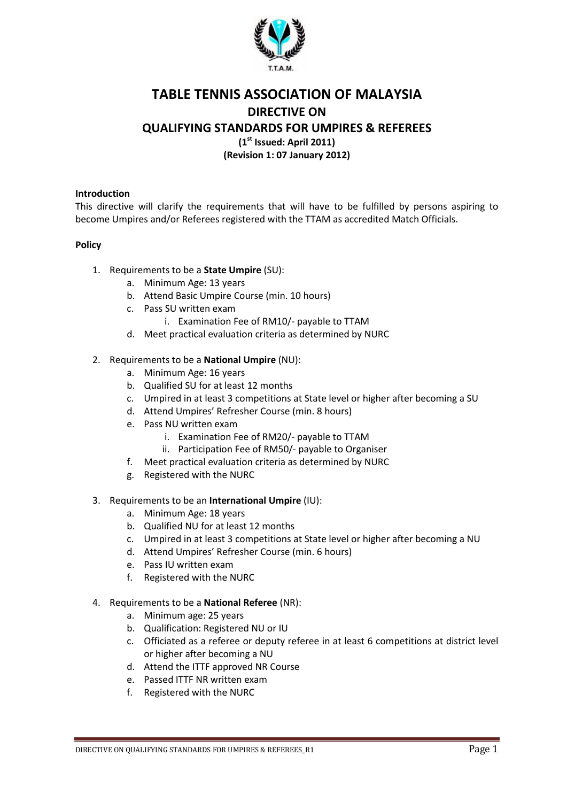

# TABLE TENNIS ASSOCIATION OF MALAYSIA DIRECTIVE ON QUALIFYING STANDARDS FOR UMPIRES & REFEREES

 $(1<sup>st</sup>$  Issued: April 2011)

(Revision 1: 07 January 2012)

## Introduction

This directive will clarify the requirements that will have to be fulfilled by persons aspiring to become Umpires and/or Referees registered with the TTAM as accredited Match Officials.

# Policy

- 1. Requirements to be a **State Umpire** (SU):
	- a. Minimum Age: 13 years
	- b. Attend Basic Umpire Course (min. 10 hours)
	- c. Pass SU written exam
		- i. Examination Fee of RM10/- payable to TTAM
	- d. Meet practical evaluation criteria as determined by NURC

#### 2. Requirements to be a National Umpire (NU):

- a. Minimum Age: 16 years
- b. Qualified SU for at least 12 months
- c. Umpired in at least 3 competitions at State level or higher after becoming a SU
- d. Attend Umpires' Refresher Course (min. 8 hours)
- e. Pass NU written exam
	- i. Examination Fee of RM20/- payable to TTAM
	- ii. Participation Fee of RM50/- payable to Organiser
- f. Meet practical evaluation criteria as determined by NURC
- g. Registered with the NURC
- 3. Requirements to be an International Umpire (IU):
	- a. Minimum Age: 18 years
	- b. Qualified NU for at least 12 months
	- c. Umpired in at least 3 competitions at State level or higher after becoming a NU
	- d. Attend Umpires' Refresher Course (min. 6 hours)
	- e. Pass IU written exam
	- f. Registered with the NURC
- 4. Requirements to be a National Referee (NR):
	- a. Minimum age: 25 years
	- b. Qualification: Registered NU or IU
	- c. Officiated as a referee or deputy referee in at least 6 competitions at district level or higher after becoming a NU
	- d. Attend the ITTF approved NR Course
	- e. Passed ITTF NR written exam
	- f. Registered with the NURC